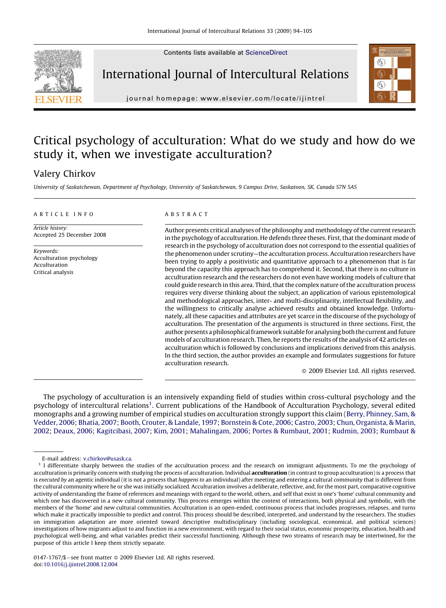Contents lists available at [ScienceDirect](http://www.sciencedirect.com/science/journal/01471767)



International Journal of Intercultural Relations



journal homepage: www.elsevier.com/locate/ijintrel

## Critical psychology of acculturation: What do we study and how do we study it, when we investigate acculturation?

### Valery Chirkov

University of Saskatchewan, Department of Psychology, University of Saskatchewan, 9 Campus Drive, Saskatoon, SK, Canada S7N 5A5

#### ARTICLE INFO

Article history: Accepted 25 December 2008

Keywords: Acculturation psychology Acculturation Critical analysis

#### **ABSTRACT**

Author presents critical analyses of the philosophy and methodology of the current research in the psychology of acculturation. He defends three theses. First, that the dominant mode of research in the psychology of acculturation does not correspond to the essential qualities of the phenomenon under scrutiny—the acculturation process. Acculturation researchers have been trying to apply a positivistic and quantitative approach to a phenomenon that is far beyond the capacity this approach has to comprehend it. Second, that there is no culture in acculturation research and the researchers do not even have working models of culture that could guide research in this area. Third, that the complex nature of the acculturation process requires very diverse thinking about the subject, an application of various epistemological and methodological approaches, inter- and multi-disciplinarity, intellectual flexibility, and the willingness to critically analyse achieved results and obtained knowledge. Unfortunately, all these capacities and attributes are yet scarce in the discourse of the psychology of acculturation. The presentation of the arguments is structured in three sections. First, the author presents a philosophical framework suitable for analysing both the current and future models of acculturation research. Then, he reports the results of the analysis of 42 articles on acculturation which is followed by conclusions and implications derived from this analysis. In the third section, the author provides an example and formulates suggestions for future acculturation research.

- 2009 Elsevier Ltd. All rights reserved.

The psychology of acculturation is an intensively expanding field of studies within cross-cultural psychology and the psychology of intercultural relations<sup>1</sup>. Current publications of the Handbook of Acculturation Psychology, several edited monographs and a growing number of empirical studies on acculturation strongly support this claim ([Berry, Phinney, Sam, &](#page--1-0) [Vedder, 2006](#page--1-0); [Bhatia, 2007;](#page--1-0) [Booth, Crouter, & Landale, 1997](#page--1-0); [Bornstein & Cote, 2006](#page--1-0); [Castro, 2003;](#page--1-0) [Chun, Organista, & Marin,](#page--1-0) [2002](#page--1-0); [Deaux, 2006;](#page--1-0) [Kagitcibasi, 2007;](#page--1-0) [Kim, 2001;](#page--1-0) [Mahalingam, 2006](#page--1-0); [Portes & Rumbaut, 2001;](#page--1-0) [Rudmin, 2003](#page--1-0); [Rumbaut &](#page--1-0)

E-mail address: [v.chirkov@usask.ca.](mailto:v.chirkov@usask.ca)

<sup>&</sup>lt;sup>1</sup> I differentiate sharply between the studies of the acculturation process and the research on immigrant adjustments. To me the psychology of acculturation is primarily concern with studying the process of acculturation. Individual **acculturation** (in contrast to group acculturation) is a process that is executed by an agentic individual (it is not a process that happens to an individual) after meeting and entering a cultural community that is different from the cultural community where he or she was initially socialized. Acculturation involves a deliberate, reflective, and, for the most part, comparative cognitive activity of understanding the frame of references and meanings with regard to the world, others, and self that exist in one's 'home' cultural community and which one has discovered in a new cultural community. This process emerges within the context of interactions, both physical and symbolic, with the members of the 'home' and new cultural communities. Acculturation is an open-ended, continuous process that includes progresses, relapses, and turns which make it practically impossible to predict and control. This process should be described, interpreted, and understand by the researchers. The studies on immigration adaptation are more oriented toward descriptive multidisciplinary (including sociological, economical, and political sciences) investigations of how migrants adjust to and function in a new environment, with regard to their social status, economic prosperity, education, health and psychological well-being, and what variables predict their successful functioning. Although these two streams of research may be intertwined, for the purpose of this article I keep them strictly separate.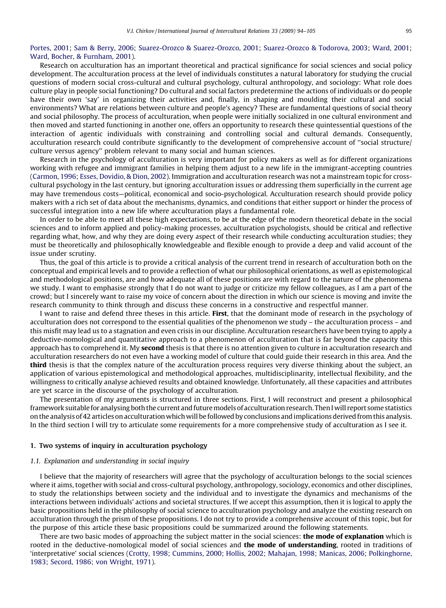#### [Portes, 2001;](#page--1-0) [Sam & Berry, 2006](#page--1-0); [Suarez-Orozco & Suarez-Orozco, 2001](#page--1-0); [Suarez-Orozco & Todorova, 2003](#page--1-0); [Ward, 2001](#page--1-0); [Ward, Bocher, & Furnham, 2001\)](#page--1-0).

Research on acculturation has an important theoretical and practical significance for social sciences and social policy development. The acculturation process at the level of individuals constitutes a natural laboratory for studying the crucial questions of modern social cross-cultural and cultural psychology, cultural anthropology, and sociology: What role does culture play in people social functioning? Do cultural and social factors predetermine the actions of individuals or do people have their own 'say' in organizing their activities and, finally, in shaping and moulding their cultural and social environments? What are relations between culture and people's agency? These are fundamental questions of social theory and social philosophy. The process of acculturation, when people were initially socialized in one cultural environment and then moved and started functioning in another one, offers an opportunity to research these quintessential questions of the interaction of agentic individuals with constraining and controlling social and cultural demands. Consequently, acculturation research could contribute significantly to the development of comprehensive account of ''social structure/ culture versus agency'' problem relevant to many social and human sciences.

Research in the psychology of acculturation is very important for policy makers as well as for different organizations working with refugee and immigrant families in helping them adjust to a new life in the immigrant-accepting countries ([Carmon, 1996;](#page--1-0) [Esses, Dovidio, & Dion, 2002](#page--1-0)). Immigration and acculturation research was not a mainstream topic for crosscultural psychology in the last century, but ignoring acculturation issues or addressing them superficially in the current age may have tremendous costs—political, economical and socio-psychological. Acculturation research should provide policy makers with a rich set of data about the mechanisms, dynamics, and conditions that either support or hinder the process of successful integration into a new life where acculturation plays a fundamental role.

In order to be able to meet all these high expectations, to be at the edge of the modern theoretical debate in the social sciences and to inform applied and policy-making processes, acculturation psychologists, should be critical and reflective regarding what, how, and why they are doing every aspect of their research while conducting acculturation studies; they must be theoretically and philosophically knowledgeable and flexible enough to provide a deep and valid account of the issue under scrutiny.

Thus, the goal of this article is to provide a critical analysis of the current trend in research of acculturation both on the conceptual and empirical levels and to provide a reflection of what our philosophical orientations, as well as epistemological and methodological positions, are and how adequate all of these positions are with regard to the nature of the phenomena we study. I want to emphasise strongly that I do not want to judge or criticize my fellow colleagues, as I am a part of the crowd; but I sincerely want to raise my voice of concern about the direction in which our science is moving and invite the research community to think through and discuss these concerns in a constructive and respectful manner.

I want to raise and defend three theses in this article. **First**, that the dominant mode of research in the psychology of acculturation does not correspond to the essential qualities of the phenomenon we study – the acculturation process – and this misfit may lead us to a stagnation and even crisis in our discipline. Acculturation researchers have been trying to apply a deductive-nomological and quantitative approach to a phenomenon of acculturation that is far beyond the capacity this approach has to comprehend it. My second thesis is that there is no attention given to culture in acculturation research and acculturation researchers do not even have a working model of culture that could guide their research in this area. And the third thesis is that the complex nature of the acculturation process requires very diverse thinking about the subject, an application of various epistemological and methodological approaches, multidisciplinarity, intellectual flexibility, and the willingness to critically analyse achieved results and obtained knowledge. Unfortunately, all these capacities and attributes are yet scarce in the discourse of the psychology of acculturation.

The presentation of my arguments is structured in three sections. First, I will reconstruct and present a philosophical framework suitable for analysing both the current and futuremodels of acculturation research. Then I will report some statistics on the analysis of 42 articles on acculturation whichwill be followed by conclusions and implications derived from this analysis. In the third section I will try to articulate some requirements for a more comprehensive study of acculturation as I see it.

#### 1. Two systems of inquiry in acculturation psychology

#### 1.1. Explanation and understanding in social inquiry

I believe that the majority of researchers will agree that the psychology of acculturation belongs to the social sciences where it aims, together with social and cross-cultural psychology, anthropology, sociology, economics and other disciplines, to study the relationships between society and the individual and to investigate the dynamics and mechanisms of the interactions between individuals' actions and societal structures. If we accept this assumption, then it is logical to apply the basic propositions held in the philosophy of social science to acculturation psychology and analyze the existing research on acculturation through the prism of these propositions. I do not try to provide a comprehensive account of this topic, but for the purpose of this article these basic propositions could be summarized around the following statements.

There are two basic modes of approaching the subject matter in the social sciences: **the mode of explanation** which is rooted in the deductive-nomological model of social sciences and **the mode of understanding**, rooted in traditions of 'interpretative' social sciences [\(Crotty, 1998; Cummins, 2000; Hollis, 2002; Mahajan, 1998; Manicas, 2006; Polkinghorne,](#page--1-0) [1983; Secord, 1986; von Wright, 1971\)](#page--1-0).